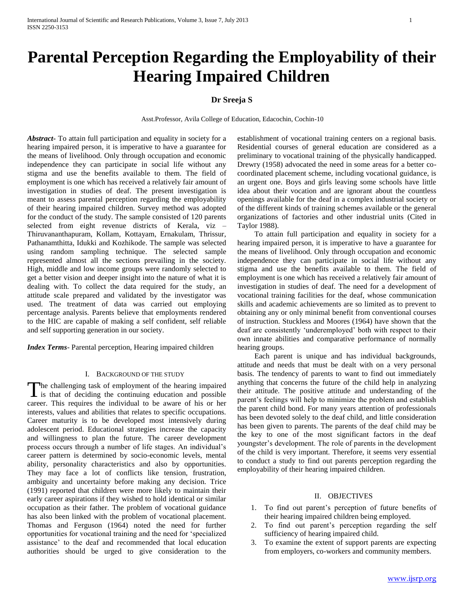# **Parental Perception Regarding the Employability of their Hearing Impaired Children**

## **Dr Sreeja S**

Asst.Professor, Avila College of Education, Edacochin, Cochin-10

*Abstract***-** To attain full participation and equality in society for a hearing impaired person, it is imperative to have a guarantee for the means of livelihood. Only through occupation and economic independence they can participate in social life without any stigma and use the benefits available to them. The field of employment is one which has received a relatively fair amount of investigation in studies of deaf. The present investigation is meant to assess parental perception regarding the employability of their hearing impaired children. Survey method was adopted for the conduct of the study. The sample consisted of 120 parents selected from eight revenue districts of Kerala, viz – Thiruvananthapuram, Kollam, Kottayam, Ernakulam, Thrissur, Pathanamthitta, Idukki and Kozhikode. The sample was selected using random sampling technique. The selected sample represented almost all the sections prevailing in the society. High, middle and low income groups were randomly selected to get a better vision and deeper insight into the nature of what it is dealing with. To collect the data required for the study, an attitude scale prepared and validated by the investigator was used. The treatment of data was carried out employing percentage analysis. Parents believe that employments rendered to the HIC are capable of making a self confident, self reliable and self supporting generation in our society.

*Index Terms*- Parental perception, Hearing impaired children

#### I. BACKGROUND OF THE STUDY

he challenging task of employment of the hearing impaired The challenging task of employment of the hearing impaired<br>is that of deciding the continuing education and possible<br> $\overline{\phantom{a}}$ career. This requires the individual to be aware of his or her interests, values and abilities that relates to specific occupations. Career maturity is to be developed most intensively during adolescent period. Educational strategies increase the capacity and willingness to plan the future. The career development process occurs through a number of life stages. An individual's career pattern is determined by socio-economic levels, mental ability, personality characteristics and also by opportunities. They may face a lot of conflicts like tension, frustration, ambiguity and uncertainty before making any decision. Trice (1991) reported that children were more likely to maintain their early career aspirations if they wished to hold identical or similar occupation as their father. The problem of vocational guidance has also been linked with the problem of vocational placement. Thomas and Ferguson (1964) noted the need for further opportunities for vocational training and the need for 'specialized assistance' to the deaf and recommended that local education authorities should be urged to give consideration to the establishment of vocational training centers on a regional basis. Residential courses of general education are considered as a preliminary to vocational training of the physically handicapped. Drewry (1958) advocated the need in some areas for a better cocoordinated placement scheme, including vocational guidance, is an urgent one. Boys and girls leaving some schools have little idea about their vocation and are ignorant about the countless openings available for the deaf in a complex industrial society or of the different kinds of training schemes available or the general organizations of factories and other industrial units (Cited in Taylor 1988).

 To attain full participation and equality in society for a hearing impaired person, it is imperative to have a guarantee for the means of livelihood. Only through occupation and economic independence they can participate in social life without any stigma and use the benefits available to them. The field of employment is one which has received a relatively fair amount of investigation in studies of deaf. The need for a development of vocational training facilities for the deaf, whose communication skills and academic achievements are so limited as to prevent to obtaining any or only minimal benefit from conventional courses of instruction. Stuckless and Moores (1964) have shown that the deaf are consistently 'underemployed' both with respect to their own innate abilities and comparative performance of normally hearing groups.

 Each parent is unique and has individual backgrounds, attitude and needs that must be dealt with on a very personal basis. The tendency of parents to want to find out immediately anything that concerns the future of the child help in analyzing their attitude. The positive attitude and understanding of the parent's feelings will help to minimize the problem and establish the parent child bond. For many years attention of professionals has been devoted solely to the deaf child, and little consideration has been given to parents. The parents of the deaf child may be the key to one of the most significant factors in the deaf youngster's development. The role of parents in the development of the child is very important. Therefore, it seems very essential to conduct a study to find out parents perception regarding the employability of their hearing impaired children.

## II. OBJECTIVES

- 1. To find out parent's perception of future benefits of their hearing impaired children being employed.
- 2. To find out parent's perception regarding the self sufficiency of hearing impaired child.
- 3. To examine the extent of support parents are expecting from employers, co-workers and community members.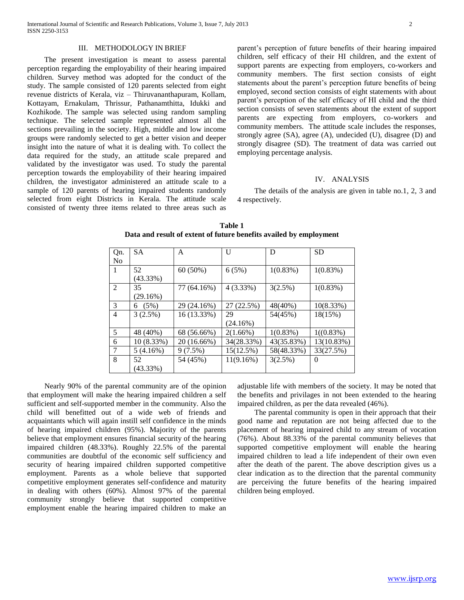#### III. METHODOLOGY IN BRIEF

 The present investigation is meant to assess parental perception regarding the employability of their hearing impaired children. Survey method was adopted for the conduct of the study. The sample consisted of 120 parents selected from eight revenue districts of Kerala, viz – Thiruvananthapuram, Kollam, Kottayam, Ernakulam, Thrissur, Pathanamthitta, Idukki and Kozhikode. The sample was selected using random sampling technique. The selected sample represented almost all the sections prevailing in the society. High, middle and low income groups were randomly selected to get a better vision and deeper insight into the nature of what it is dealing with. To collect the data required for the study, an attitude scale prepared and validated by the investigator was used. To study the parental perception towards the employability of their hearing impaired children, the investigator administered an attitude scale to a sample of 120 parents of hearing impaired students randomly selected from eight Districts in Kerala. The attitude scale consisted of twenty three items related to three areas such as

parent's perception of future benefits of their hearing impaired children, self efficacy of their HI children, and the extent of support parents are expecting from employers, co-workers and community members. The first section consists of eight statements about the parent's perception future benefits of being employed, second section consists of eight statements with about parent's perception of the self efficacy of HI child and the third section consists of seven statements about the extent of support parents are expecting from employers, co-workers and community members. The attitude scale includes the responses, strongly agree (SA), agree (A), undecided (U), disagree (D) and strongly disagree (SD). The treatment of data was carried out employing percentage analysis.

## IV. ANALYSIS

 The details of the analysis are given in table no.1, 2, 3 and 4 respectively.

| Qn.<br>No | <b>SA</b>         | A           | U          | D          | <b>SD</b>  |
|-----------|-------------------|-------------|------------|------------|------------|
| 1         | 52                | $60(50\%)$  | 6(5%)      | 1(0.83%)   | 1(0.83%)   |
|           | $(43.33\%)$<br>35 |             |            |            |            |
| 2         | (29.16%)          | 77 (64.16%) | 4(3.33%)   | 3(2.5%)    | 1(0.83%)   |
| 3         | (5%)<br>6         | 29 (24.16%) | 27 (22.5%) | 48(40%)    | 10(8.33%)  |
| 4         | 3(2.5%)           | 16 (13.33%) | 29         | 54(45%)    | 18(15%)    |
|           |                   |             | (24.16%)   |            |            |
| 5         | 48 (40%)          | 68 (56.66%) | 2(1.66%)   | 1(0.83%)   | 1((0.83%)  |
| 6         | 10 (8.33%)        | 20 (16.66%) | 34(28.33%) | 43(35.83%) | 13(10.83%) |
| 7         | 5(4.16%)          | 9(7.5%)     | 15(12.5%)  | 58(48.33%) | 33(27.5%)  |
| 8         | 52                | 54 (45%)    | 11(9.16%)  | 3(2.5%)    | $\theta$   |
|           | (43.33%)          |             |            |            |            |

**Table 1 Data and result of extent of future benefits availed by employment**

 Nearly 90% of the parental community are of the opinion that employment will make the hearing impaired children a self sufficient and self-supported member in the community. Also the child will benefitted out of a wide web of friends and acquaintants which will again instill self confidence in the minds of hearing impaired children (95%). Majority of the parents believe that employment ensures financial security of the hearing impaired children (48.33%). Roughly 22.5% of the parental communities are doubtful of the economic self sufficiency and security of hearing impaired children supported competitive employment. Parents as a whole believe that supported competitive employment generates self-confidence and maturity in dealing with others (60%). Almost 97% of the parental community strongly believe that supported competitive employment enable the hearing impaired children to make an

adjustable life with members of the society. It may be noted that the benefits and privilages in not been extended to the hearing impaired children, as per the data revealed (46%).

 The parental community is open in their approach that their good name and reputation are not being affected due to the placement of hearing impaired child to any stream of vocation (76%). About 88.33% of the parental community believes that supported competitive employment will enable the hearing impaired children to lead a life independent of their own even after the death of the parent. The above description gives us a clear indication as to the direction that the parental community are perceiving the future benefits of the hearing impaired children being employed.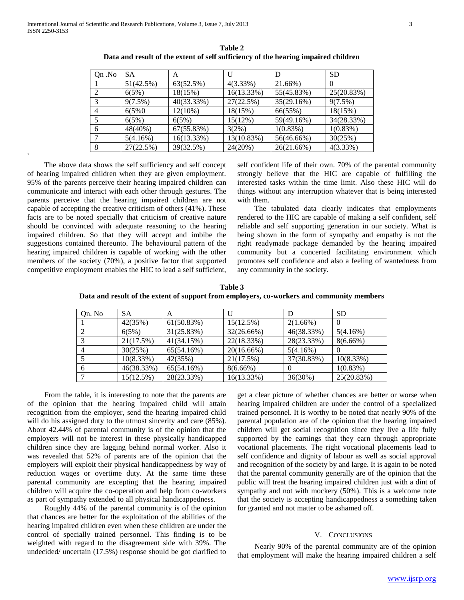| On .No         | SА        | A          |             |            | <b>SD</b>   |
|----------------|-----------|------------|-------------|------------|-------------|
|                | 51(42.5%) | 63(52.5%)  | $4(3.33\%)$ | 21.66%)    |             |
|                | 6(5%)     | 18(15%)    | 16(13.33%)  | 55(45.83%) | 25(20.83%)  |
| $\mathcal{R}$  | 9(7.5%)   | 40(33.33%) | 27(22.5%)   | 35(29.16%) | 9(7.5%)     |
| $\overline{4}$ | 6(5%0)    | $12(10\%)$ | 18(15%)     | 66(55%)    | 18(15%)     |
|                | 6(5%)     | 6(5%)      | 15(12%)     | 59(49.16%) | 34(28.33%)  |
| -6             | 48(40%)   | 67(55.83%) | $3(2\%)$    | 1(0.83%)   | $1(0.83\%)$ |
|                | 5(4.16%)  | 16(13.33%) | 13(10.83%)  | 56(46.66%) | 30(25%)     |
| 8              | 27(22.5%) | 39(32.5%)  | 24(20%)     | 26(21.66%) | $4(3.33\%)$ |
|                |           |            |             |            |             |

**Table 2 Data and result of the extent of self sufficiency of the hearing impaired children**

 The above data shows the self sufficiency and self concept of hearing impaired children when they are given employment. 95% of the parents perceive their hearing impaired children can communicate and interact with each other through gestures. The parents perceive that the hearing impaired children are not capable of accepting the creative criticism of others (41%). These facts are to be noted specially that criticism of creative nature should be convinced with adequate reasoning to the hearing impaired children. So that they will accept and imbibe the suggestions contained thereunto. The behavioural pattern of the hearing impaired children is capable of working with the other members of the society (70%), a positive factor that supported competitive employment enables the HIC to lead a self sufficient,

**`**

self confident life of their own. 70% of the parental community strongly believe that the HIC are capable of fulfilling the interested tasks within the time limit. Also these HIC will do things without any interruption whatever that is being interested with them.

 The tabulated data clearly indicates that employments rendered to the HIC are capable of making a self confident, self reliable and self supporting generation in our society. What is being shown in the form of sympathy and empathy is not the right readymade package demanded by the hearing impaired community but a concerted facilitating environment which promotes self confidence and also a feeling of wantedness from any community in the society.

**Table 3 Data and result of the extent of support from employers, co-workers and community members**

| Qn. No | <b>SA</b>  | A          |            |             | <b>SD</b>   |
|--------|------------|------------|------------|-------------|-------------|
|        | 42(35%)    | 61(50.83%) | 15(12.5%)  | $2(1.66\%)$ |             |
|        | 6(5%)      | 31(25.83%) | 32(26.66%) | 46(38.33%)  | 5(4.16%)    |
|        | 21(17.5%)  | 41(34.15%) | 22(18.33%) | 28(23.33%)  | $8(6.66\%)$ |
|        | 30(25%)    | 65(54.16%) | 20(16.66%) | 5(4.16%)    |             |
|        | 10(8.33%)  | 42(35%)    | 21(17.5%)  | 37(30.83%)  | 10(8.33%)   |
|        | 46(38.33%) | 65(54.16%) | 8(6.66%)   |             | 1(0.83%)    |
|        | 15(12.5%)  | 28(23.33%) | 16(13.33%) | 36(30%)     | 25(20.83%)  |

 From the table, it is interesting to note that the parents are of the opinion that the hearing impaired child will attain recognition from the employer, send the hearing impaired child will do his assigned duty to the utmost sincerity and care (85%). About 42.44% of parental community is of the opinion that the employers will not be interest in these physically handicapped children since they are lagging behind normal worker. Also it was revealed that 52% of parents are of the opinion that the employers will exploit their physical handicappedness by way of reduction wages or overtime duty. At the same time these parental community are excepting that the hearing impaired children will acquire the co-operation and help from co-workers as part of sympathy extended to all physical handicappedness.

 Roughly 44% of the parental community is of the opinion that chances are better for the exploitation of the abilities of the hearing impaired children even when these children are under the control of specially trained personnel. This finding is to be weighted with regard to the disagreement side with 39%. The undecided/ uncertain (17.5%) response should be got clarified to

get a clear picture of whether chances are better or worse when hearing impaired children are under the control of a specialized trained personnel. It is worthy to be noted that nearly 90% of the parental population are of the opinion that the hearing impaired children will get social recognition since they live a life fully supported by the earnings that they earn through appropriate vocational placements. The right vocational placements lead to self confidence and dignity of labour as well as social approval and recognition of the society by and large. It is again to be noted that the parental community generally are of the opinion that the public will treat the hearing impaired children just with a dint of sympathy and not with mockery (50%). This is a welcome note that the society is accepting handicappedness a something taken for granted and not matter to be ashamed off.

## V. CONCLUSIONS

 Nearly 90% of the parental community are of the opinion that employment will make the hearing impaired children a self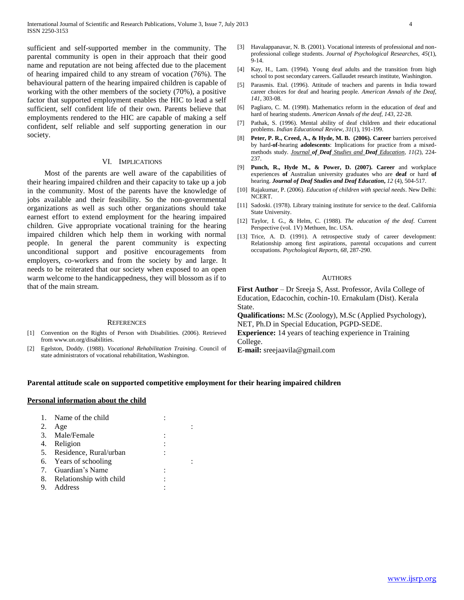sufficient and self-supported member in the community. The parental community is open in their approach that their good name and reputation are not being affected due to the placement of hearing impaired child to any stream of vocation (76%). The behavioural pattern of the hearing impaired children is capable of working with the other members of the society (70%), a positive factor that supported employment enables the HIC to lead a self sufficient, self confident life of their own. Parents believe that employments rendered to the HIC are capable of making a self confident, self reliable and self supporting generation in our society.

#### VI. IMPLICATIONS

 Most of the parents are well aware of the capabilities of their hearing impaired children and their capacity to take up a job in the community. Most of the parents have the knowledge of jobs available and their feasibility. So the non-governmental organizations as well as such other organizations should take earnest effort to extend employment for the hearing impaired children. Give appropriate vocational training for the hearing impaired children which help them in working with normal people. In general the parent community is expecting unconditional support and positive encouragements from employers, co-workers and from the society by and large. It needs to be reiterated that our society when exposed to an open warm welcome to the handicappedness, they will blossom as if to that of the main stream.

#### **REFERENCES**

- [1] Convention on the Rights of Person with Disabilities. (2006). Retrieved from www.un.org/disabilities.
- [2] Egelston, Doddy. (1988). *Vocational Rehabilitation Training*. Council of state administrators of vocational rehabilitation, Washington.
- [3] Havalappanavar, N. B. (2001). Vocational interests of professional and nonprofessional college students. *Journal of Psychological Researches, 45*(1), 9-14.
- [4] Kay, H., Lam. (1994). Young deaf adults and the transition from high school to post secondary careers. Gallaudet research institute, Washington.
- [5] Parasmis. Etal. (1996). Attitude of teachers and parents in India toward career choices for deaf and hearing people. *American Annals of the Deaf*, *141*, 303-08.
- [6] Pagliaro, C. M. (1998). Mathematics reform in the education of deaf and hard of hearing students. *American Annals of the deaf, 143,* 22-28.
- [7] Pathak, S. (1996). Mental ability of deaf children and their educational problems. *Indian Educational Review, 31*(1), 191-199.
- [8] **Peter, P. R., Creed, A., & Hyde, M. B. (2006). Career** barriers perceived by hard-**of**-hearing **adolescents**: Implications for practice from a mixedmethods study. *Journal of Deaf [Studies and](http://jdsde.oxfordjournals.org/) Deaf Education, 11*(2), 224- 237.
- [9] **Punch, R., Hyde M., & Power, D. (2007). Career** and workplace experiences **of** Australian university graduates who are **deaf** or hard **of** hearing. *Journal of Deaf Studies and Deaf Education***,** *12* (4), 504-517.
- [10] Rajakumar, P. (2006). *Education of children with special needs*. New Delhi: NCERT.
- [11] Sadoski. (1978). Library training institute for service to the deaf. California State University.
- [12] Taylor, I. G., & Helm, C. (1988). *The education of the deaf*. Current Perspective (vol. 1V) Methuen, Inc. USA.
- [13] Trice, A. D. (1991). A retrospective study of career development: Relationship among first aspirations, parental occupations and current occupations. *Psychological Reports, 68*, 287-290.

#### AUTHORS

**First Author** – Dr Sreeja S, Asst. Professor, Avila College of Education, Edacochin, cochin-10. Ernakulam (Dist). Kerala State.

**Qualifications:** M.Sc (Zoology), M.Sc (Applied Psychology), NET, Ph.D in Special Education, PGPD-SEDE.

**Experience:** 14 years of teaching experience in Training College.

**E-mail:** sreejaavila@gmail.com

#### **Parental attitude scale on supported competitive employment for their hearing impaired children**

### **Personal information about the child**

|    | 1. Name of the child       |  |
|----|----------------------------|--|
| 2. | Age                        |  |
|    | 3. Male/Female             |  |
|    | 4. Religion                |  |
|    | 5. Residence, Rural/urban  |  |
|    | 6. Years of schooling      |  |
|    | 7. Guardian's Name         |  |
|    | 8. Relationship with child |  |
|    | Address                    |  |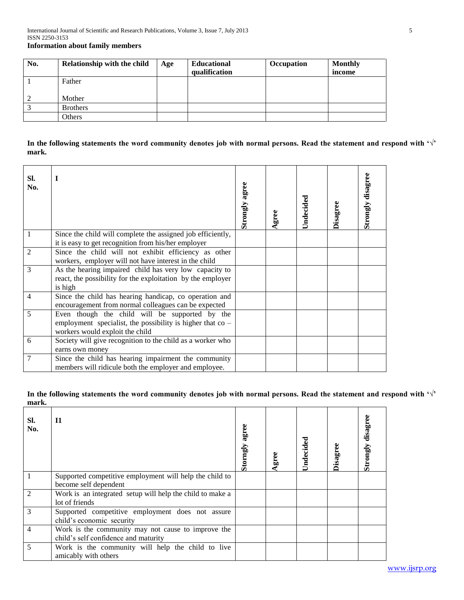| No. | Relationship with the child | Age | <b>Educational</b> | Occupation | <b>Monthly</b> |
|-----|-----------------------------|-----|--------------------|------------|----------------|
|     |                             |     | qualification      |            | income         |
|     | Father                      |     |                    |            |                |
|     | Mother                      |     |                    |            |                |
|     | <b>Brothers</b>             |     |                    |            |                |
|     | <b>Others</b>               |     |                    |            |                |

# **In the following statements the word community denotes job with normal persons. Read the statement and respond with '√' mark.**

| SI.<br>No. | $\mathbf I$                                                                                                                                         | Strongly agree | Agree | Undecided | Disagree | Strongly disagree |
|------------|-----------------------------------------------------------------------------------------------------------------------------------------------------|----------------|-------|-----------|----------|-------------------|
| 1          | Since the child will complete the assigned job efficiently,<br>it is easy to get recognition from his/her employer                                  |                |       |           |          |                   |
| 2          | Since the child will not exhibit efficiency as other<br>workers, employer will not have interest in the child                                       |                |       |           |          |                   |
| 3          | As the hearing impaired child has very low capacity to<br>react, the possibility for the exploitation by the employer<br>is high                    |                |       |           |          |                   |
| 4          | Since the child has hearing handicap, co operation and<br>encouragement from normal colleagues can be expected                                      |                |       |           |          |                   |
| 5          | Even though the child will be supported by the<br>employment specialist, the possibility is higher that $\cos$ -<br>workers would exploit the child |                |       |           |          |                   |
| 6          | Society will give recognition to the child as a worker who<br>earns own money                                                                       |                |       |           |          |                   |
| 7          | Since the child has hearing impairment the community<br>members will ridicule both the employer and employee.                                       |                |       |           |          |                   |

# **In the following statements the word community denotes job with normal persons. Read the statement and respond with '√' mark.**

| SI.<br>No.    | <b>I1</b>                                                                                  | agree<br>Storngly | Agree | Undecided | <b>Disagree</b> | disagre<br>Strongly |
|---------------|--------------------------------------------------------------------------------------------|-------------------|-------|-----------|-----------------|---------------------|
|               | Supported competitive employment will help the child to<br>become self dependent           |                   |       |           |                 |                     |
|               | Work is an integrated setup will help the child to make a<br>lot of friends                |                   |       |           |                 |                     |
| $\mathcal{R}$ | Supported competitive employment does not assure<br>child's economic security              |                   |       |           |                 |                     |
| 4             | Work is the community may not cause to improve the<br>child's self confidence and maturity |                   |       |           |                 |                     |
| 5             | Work is the community will help the child to live<br>amicably with others                  |                   |       |           |                 |                     |